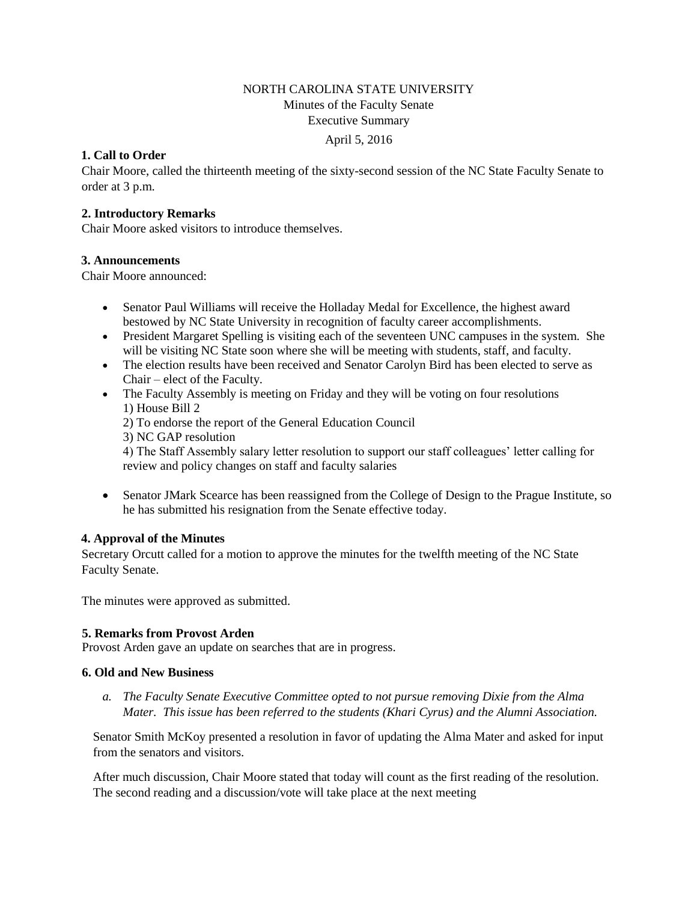# NORTH CAROLINA STATE UNIVERSITY Minutes of the Faculty Senate Executive Summary

#### April 5, 2016

### **1. Call to Order**

Chair Moore, called the thirteenth meeting of the sixty-second session of the NC State Faculty Senate to order at 3 p.m.

### **2. Introductory Remarks**

Chair Moore asked visitors to introduce themselves.

### **3. Announcements**

Chair Moore announced:

- Senator Paul Williams will receive the Holladay Medal for Excellence, the highest award bestowed by NC State University in recognition of faculty career accomplishments.
- President Margaret Spelling is visiting each of the seventeen UNC campuses in the system. She will be visiting NC State soon where she will be meeting with students, staff, and faculty.
- The election results have been received and Senator Carolyn Bird has been elected to serve as Chair – elect of the Faculty.
- The Faculty Assembly is meeting on Friday and they will be voting on four resolutions 1) House Bill 2

2) To endorse the report of the General Education Council

3) NC GAP resolution

4) The Staff Assembly salary letter resolution to support our staff colleagues' letter calling for review and policy changes on staff and faculty salaries

 Senator JMark Scearce has been reassigned from the College of Design to the Prague Institute, so he has submitted his resignation from the Senate effective today.

### **4. Approval of the Minutes**

Secretary Orcutt called for a motion to approve the minutes for the twelfth meeting of the NC State Faculty Senate.

The minutes were approved as submitted.

### **5. Remarks from Provost Arden**

Provost Arden gave an update on searches that are in progress.

### **6. Old and New Business**

*a. The Faculty Senate Executive Committee opted to not pursue removing Dixie from the Alma Mater. This issue has been referred to the students (Khari Cyrus) and the Alumni Association.* 

Senator Smith McKoy presented a resolution in favor of updating the Alma Mater and asked for input from the senators and visitors.

After much discussion, Chair Moore stated that today will count as the first reading of the resolution. The second reading and a discussion/vote will take place at the next meeting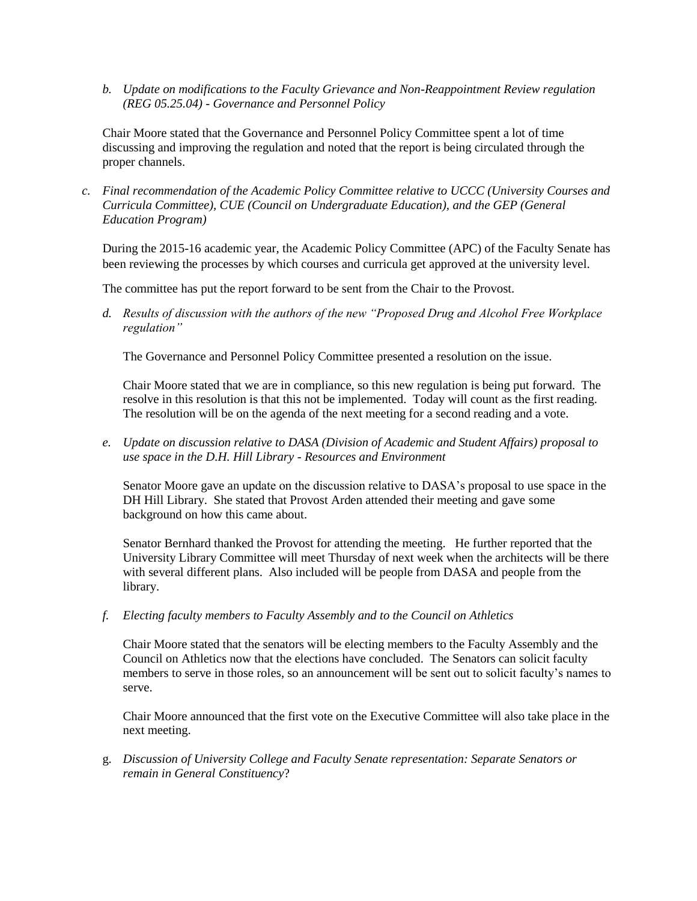*b. Update on modifications to the Faculty Grievance and Non-Reappointment Review regulation (REG 05.25.04) - Governance and Personnel Policy*

Chair Moore stated that the Governance and Personnel Policy Committee spent a lot of time discussing and improving the regulation and noted that the report is being circulated through the proper channels.

*c. Final recommendation of the Academic Policy Committee relative to UCCC (University Courses and Curricula Committee), CUE (Council on Undergraduate Education), and the GEP (General Education Program)* 

During the 2015-16 academic year, the Academic Policy Committee (APC) of the Faculty Senate has been reviewing the processes by which courses and curricula get approved at the university level.

The committee has put the report forward to be sent from the Chair to the Provost.

*d. Results of discussion with the authors of the new "Proposed Drug and Alcohol Free Workplace regulation"* 

The Governance and Personnel Policy Committee presented a resolution on the issue.

Chair Moore stated that we are in compliance, so this new regulation is being put forward. The resolve in this resolution is that this not be implemented. Today will count as the first reading. The resolution will be on the agenda of the next meeting for a second reading and a vote.

*e. Update on discussion relative to DASA (Division of Academic and Student Affairs) proposal to use space in the D.H. Hill Library - Resources and Environment*

Senator Moore gave an update on the discussion relative to DASA's proposal to use space in the DH Hill Library. She stated that Provost Arden attended their meeting and gave some background on how this came about.

Senator Bernhard thanked the Provost for attending the meeting. He further reported that the University Library Committee will meet Thursday of next week when the architects will be there with several different plans. Also included will be people from DASA and people from the library.

*f. Electing faculty members to Faculty Assembly and to the Council on Athletics* 

Chair Moore stated that the senators will be electing members to the Faculty Assembly and the Council on Athletics now that the elections have concluded. The Senators can solicit faculty members to serve in those roles, so an announcement will be sent out to solicit faculty's names to serve.

Chair Moore announced that the first vote on the Executive Committee will also take place in the next meeting.

g. *Discussion of University College and Faculty Senate representation: Separate Senators or remain in General Constituency*?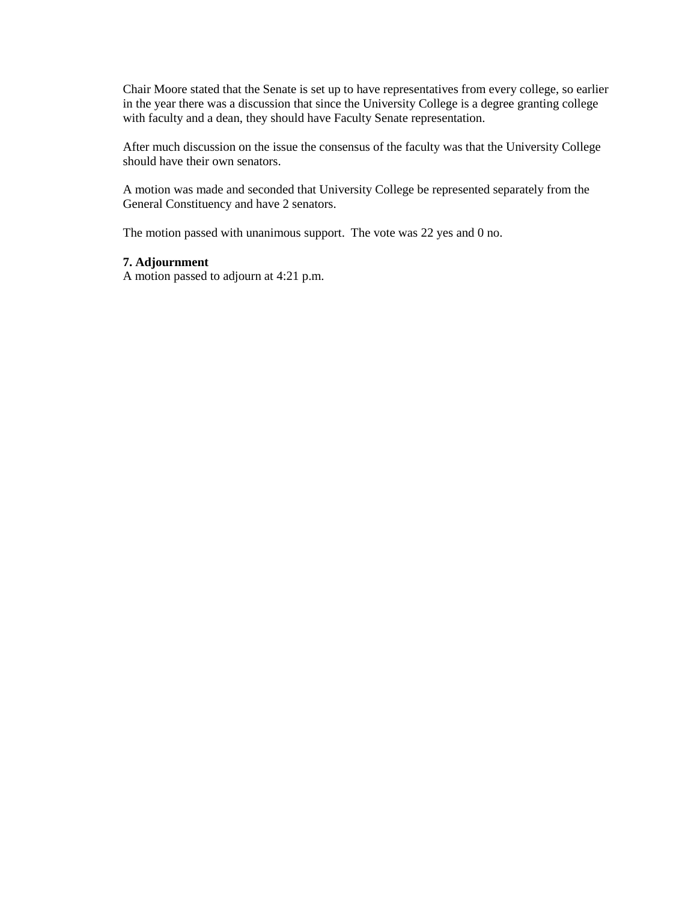Chair Moore stated that the Senate is set up to have representatives from every college, so earlier in the year there was a discussion that since the University College is a degree granting college with faculty and a dean, they should have Faculty Senate representation.

After much discussion on the issue the consensus of the faculty was that the University College should have their own senators.

A motion was made and seconded that University College be represented separately from the General Constituency and have 2 senators.

The motion passed with unanimous support. The vote was 22 yes and 0 no.

### **7. Adjournment**

A motion passed to adjourn at 4:21 p.m.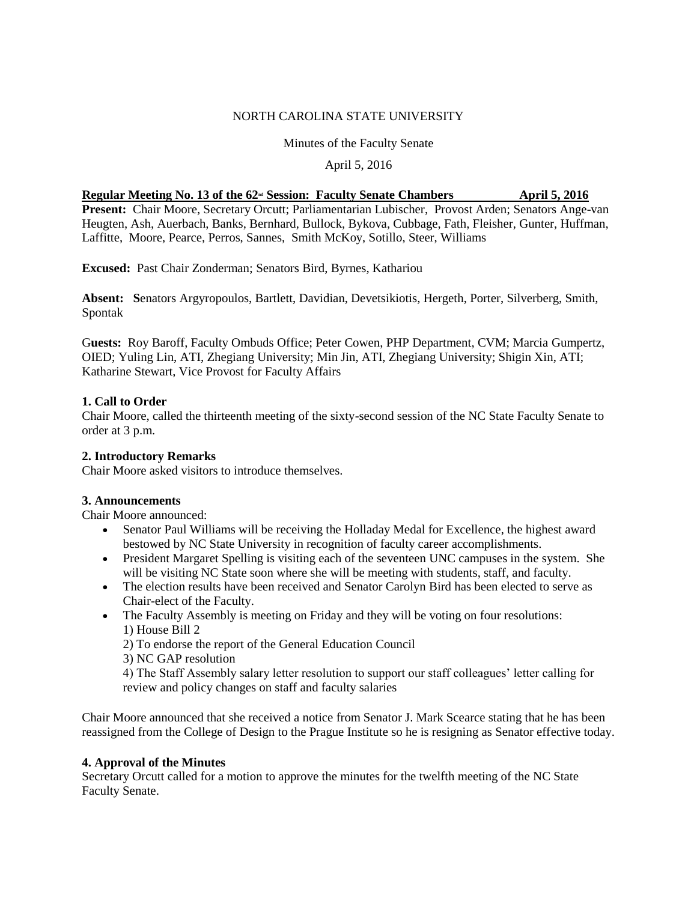### NORTH CAROLINA STATE UNIVERSITY

### Minutes of the Faculty Senate

#### April 5, 2016

| Regular Meeting No. 13 of the 62 <sup>nd</sup> Session: Faculty Senate Chambers                            | <b>April 5, 2016</b> |
|------------------------------------------------------------------------------------------------------------|----------------------|
| <b>Present:</b> Chair Moore, Secretary Orcutt; Parliamentarian Lubischer, Provost Arden; Senators Ange-van |                      |
| Heugten, Ash, Auerbach, Banks, Bernhard, Bullock, Bykova, Cubbage, Fath, Fleisher, Gunter, Huffman,        |                      |
| Laffitte, Moore, Pearce, Perros, Sannes, Smith McKoy, Sotillo, Steer, Williams                             |                      |

**Excused:** Past Chair Zonderman; Senators Bird, Byrnes, Kathariou

**Absent: S**enators Argyropoulos, Bartlett, Davidian, Devetsikiotis, Hergeth, Porter, Silverberg, Smith, Spontak

G**uests:** Roy Baroff, Faculty Ombuds Office; Peter Cowen, PHP Department, CVM; Marcia Gumpertz, OIED; Yuling Lin, ATI, Zhegiang University; Min Jin, ATI, Zhegiang University; Shigin Xin, ATI; Katharine Stewart, Vice Provost for Faculty Affairs

### **1. Call to Order**

Chair Moore, called the thirteenth meeting of the sixty-second session of the NC State Faculty Senate to order at 3 p.m.

### **2. Introductory Remarks**

Chair Moore asked visitors to introduce themselves.

#### **3. Announcements**

Chair Moore announced:

- Senator Paul Williams will be receiving the Holladay Medal for Excellence, the highest award bestowed by NC State University in recognition of faculty career accomplishments.
- President Margaret Spelling is visiting each of the seventeen UNC campuses in the system. She will be visiting NC State soon where she will be meeting with students, staff, and faculty.
- The election results have been received and Senator Carolyn Bird has been elected to serve as Chair-elect of the Faculty.
- The Faculty Assembly is meeting on Friday and they will be voting on four resolutions: 1) House Bill 2

2) To endorse the report of the General Education Council

3) NC GAP resolution

4) The Staff Assembly salary letter resolution to support our staff colleagues' letter calling for review and policy changes on staff and faculty salaries

Chair Moore announced that she received a notice from Senator J. Mark Scearce stating that he has been reassigned from the College of Design to the Prague Institute so he is resigning as Senator effective today.

#### **4. Approval of the Minutes**

Secretary Orcutt called for a motion to approve the minutes for the twelfth meeting of the NC State Faculty Senate.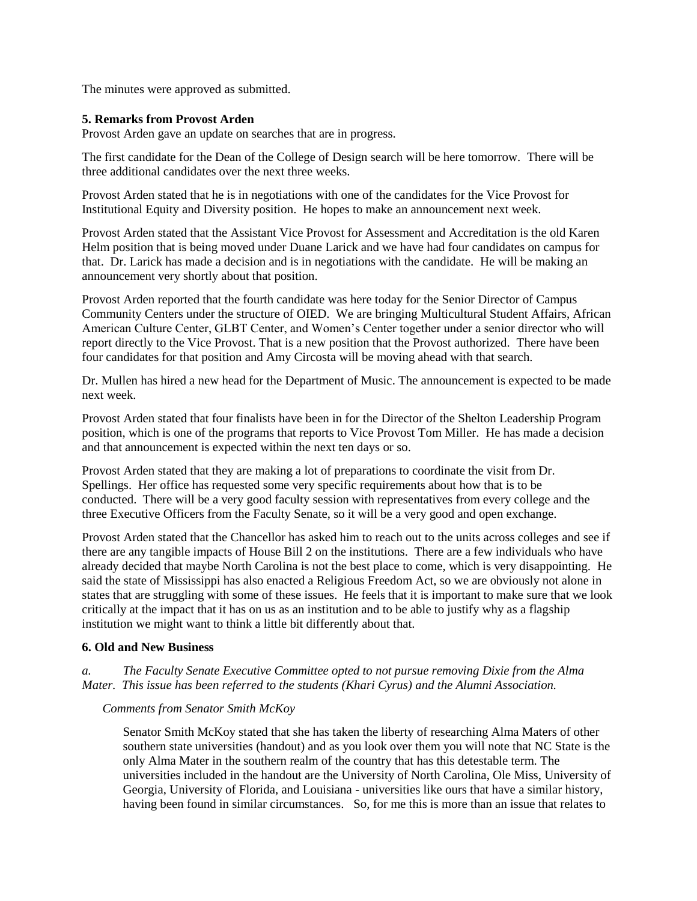The minutes were approved as submitted.

#### **5. Remarks from Provost Arden**

Provost Arden gave an update on searches that are in progress.

The first candidate for the Dean of the College of Design search will be here tomorrow. There will be three additional candidates over the next three weeks.

Provost Arden stated that he is in negotiations with one of the candidates for the Vice Provost for Institutional Equity and Diversity position. He hopes to make an announcement next week.

Provost Arden stated that the Assistant Vice Provost for Assessment and Accreditation is the old Karen Helm position that is being moved under Duane Larick and we have had four candidates on campus for that. Dr. Larick has made a decision and is in negotiations with the candidate. He will be making an announcement very shortly about that position.

Provost Arden reported that the fourth candidate was here today for the Senior Director of Campus Community Centers under the structure of OIED. We are bringing Multicultural Student Affairs, African American Culture Center, GLBT Center, and Women's Center together under a senior director who will report directly to the Vice Provost. That is a new position that the Provost authorized. There have been four candidates for that position and Amy Circosta will be moving ahead with that search.

Dr. Mullen has hired a new head for the Department of Music. The announcement is expected to be made next week.

Provost Arden stated that four finalists have been in for the Director of the Shelton Leadership Program position, which is one of the programs that reports to Vice Provost Tom Miller. He has made a decision and that announcement is expected within the next ten days or so.

Provost Arden stated that they are making a lot of preparations to coordinate the visit from Dr. Spellings. Her office has requested some very specific requirements about how that is to be conducted. There will be a very good faculty session with representatives from every college and the three Executive Officers from the Faculty Senate, so it will be a very good and open exchange.

Provost Arden stated that the Chancellor has asked him to reach out to the units across colleges and see if there are any tangible impacts of House Bill 2 on the institutions. There are a few individuals who have already decided that maybe North Carolina is not the best place to come, which is very disappointing. He said the state of Mississippi has also enacted a Religious Freedom Act, so we are obviously not alone in states that are struggling with some of these issues. He feels that it is important to make sure that we look critically at the impact that it has on us as an institution and to be able to justify why as a flagship institution we might want to think a little bit differently about that.

#### **6. Old and New Business**

*a. The Faculty Senate Executive Committee opted to not pursue removing Dixie from the Alma Mater. This issue has been referred to the students (Khari Cyrus) and the Alumni Association.* 

#### *Comments from Senator Smith McKoy*

Senator Smith McKoy stated that she has taken the liberty of researching Alma Maters of other southern state universities (handout) and as you look over them you will note that NC State is the only Alma Mater in the southern realm of the country that has this detestable term. The universities included in the handout are the University of North Carolina, Ole Miss, University of Georgia, University of Florida, and Louisiana - universities like ours that have a similar history, having been found in similar circumstances. So, for me this is more than an issue that relates to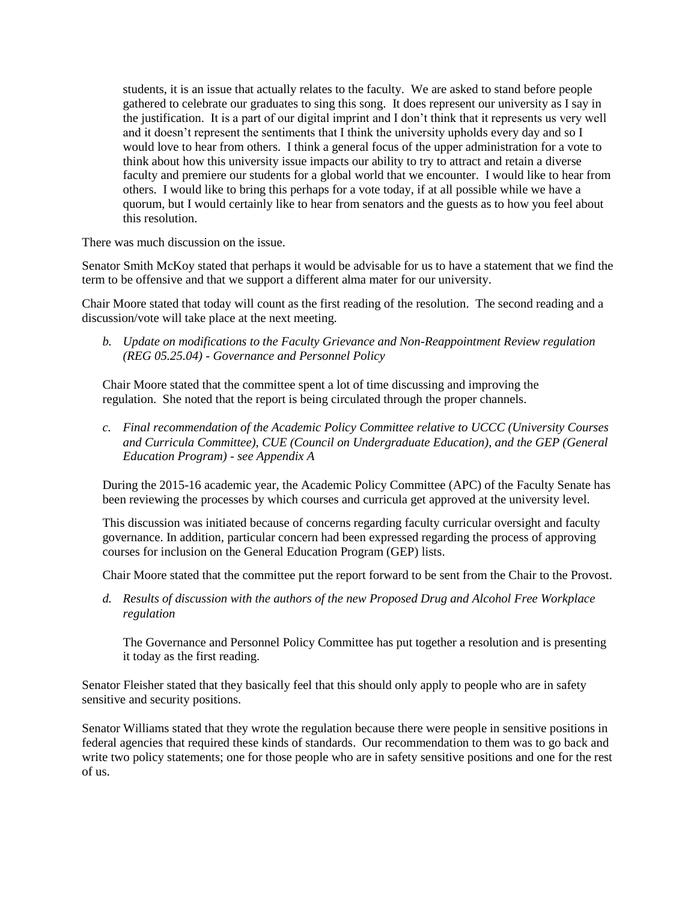students, it is an issue that actually relates to the faculty. We are asked to stand before people gathered to celebrate our graduates to sing this song. It does represent our university as I say in the justification. It is a part of our digital imprint and I don't think that it represents us very well and it doesn't represent the sentiments that I think the university upholds every day and so I would love to hear from others. I think a general focus of the upper administration for a vote to think about how this university issue impacts our ability to try to attract and retain a diverse faculty and premiere our students for a global world that we encounter. I would like to hear from others. I would like to bring this perhaps for a vote today, if at all possible while we have a quorum, but I would certainly like to hear from senators and the guests as to how you feel about this resolution.

There was much discussion on the issue.

Senator Smith McKoy stated that perhaps it would be advisable for us to have a statement that we find the term to be offensive and that we support a different alma mater for our university.

Chair Moore stated that today will count as the first reading of the resolution. The second reading and a discussion/vote will take place at the next meeting.

*b. Update on modifications to the Faculty Grievance and Non-Reappointment Review regulation (REG 05.25.04) - Governance and Personnel Policy*

Chair Moore stated that the committee spent a lot of time discussing and improving the regulation. She noted that the report is being circulated through the proper channels.

*c. Final recommendation of the Academic Policy Committee relative to UCCC (University Courses and Curricula Committee), CUE (Council on Undergraduate Education), and the GEP (General Education Program) - see Appendix A*

During the 2015-16 academic year, the Academic Policy Committee (APC) of the Faculty Senate has been reviewing the processes by which courses and curricula get approved at the university level.

This discussion was initiated because of concerns regarding faculty curricular oversight and faculty governance. In addition, particular concern had been expressed regarding the process of approving courses for inclusion on the General Education Program (GEP) lists.

Chair Moore stated that the committee put the report forward to be sent from the Chair to the Provost.

*d. Results of discussion with the authors of the new Proposed Drug and Alcohol Free Workplace regulation* 

The Governance and Personnel Policy Committee has put together a resolution and is presenting it today as the first reading.

Senator Fleisher stated that they basically feel that this should only apply to people who are in safety sensitive and security positions.

Senator Williams stated that they wrote the regulation because there were people in sensitive positions in federal agencies that required these kinds of standards. Our recommendation to them was to go back and write two policy statements; one for those people who are in safety sensitive positions and one for the rest of us.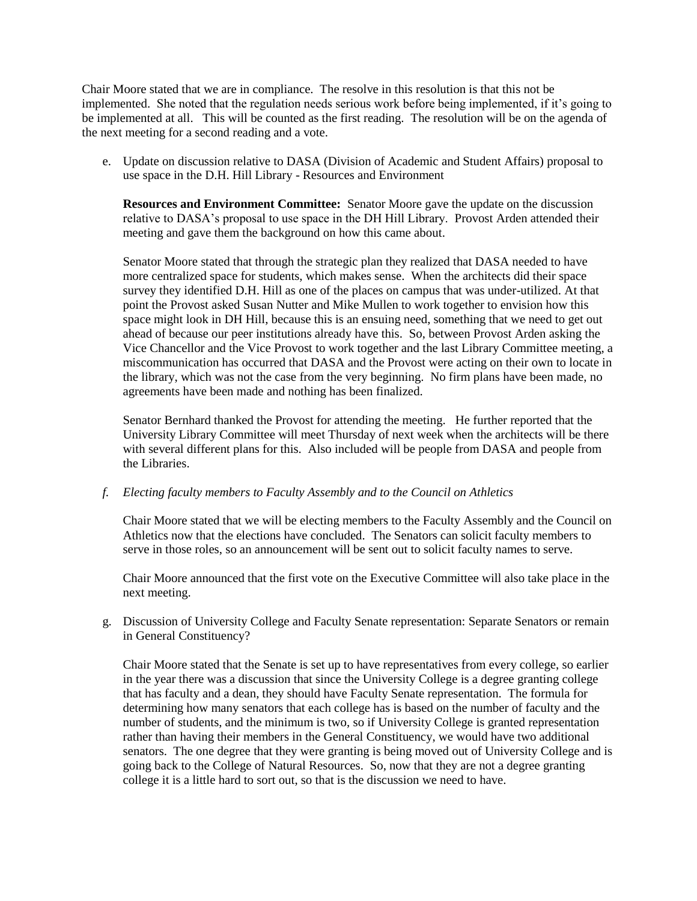Chair Moore stated that we are in compliance. The resolve in this resolution is that this not be implemented. She noted that the regulation needs serious work before being implemented, if it's going to be implemented at all. This will be counted as the first reading. The resolution will be on the agenda of the next meeting for a second reading and a vote.

e. Update on discussion relative to DASA (Division of Academic and Student Affairs) proposal to use space in the D.H. Hill Library - Resources and Environment

**Resources and Environment Committee:** Senator Moore gave the update on the discussion relative to DASA's proposal to use space in the DH Hill Library. Provost Arden attended their meeting and gave them the background on how this came about.

Senator Moore stated that through the strategic plan they realized that DASA needed to have more centralized space for students, which makes sense. When the architects did their space survey they identified D.H. Hill as one of the places on campus that was under-utilized. At that point the Provost asked Susan Nutter and Mike Mullen to work together to envision how this space might look in DH Hill, because this is an ensuing need, something that we need to get out ahead of because our peer institutions already have this. So, between Provost Arden asking the Vice Chancellor and the Vice Provost to work together and the last Library Committee meeting, a miscommunication has occurred that DASA and the Provost were acting on their own to locate in the library, which was not the case from the very beginning. No firm plans have been made, no agreements have been made and nothing has been finalized.

Senator Bernhard thanked the Provost for attending the meeting. He further reported that the University Library Committee will meet Thursday of next week when the architects will be there with several different plans for this. Also included will be people from DASA and people from the Libraries.

#### *f. Electing faculty members to Faculty Assembly and to the Council on Athletics*

Chair Moore stated that we will be electing members to the Faculty Assembly and the Council on Athletics now that the elections have concluded. The Senators can solicit faculty members to serve in those roles, so an announcement will be sent out to solicit faculty names to serve.

Chair Moore announced that the first vote on the Executive Committee will also take place in the next meeting.

g. Discussion of University College and Faculty Senate representation: Separate Senators or remain in General Constituency?

Chair Moore stated that the Senate is set up to have representatives from every college, so earlier in the year there was a discussion that since the University College is a degree granting college that has faculty and a dean, they should have Faculty Senate representation. The formula for determining how many senators that each college has is based on the number of faculty and the number of students, and the minimum is two, so if University College is granted representation rather than having their members in the General Constituency, we would have two additional senators. The one degree that they were granting is being moved out of University College and is going back to the College of Natural Resources. So, now that they are not a degree granting college it is a little hard to sort out, so that is the discussion we need to have.